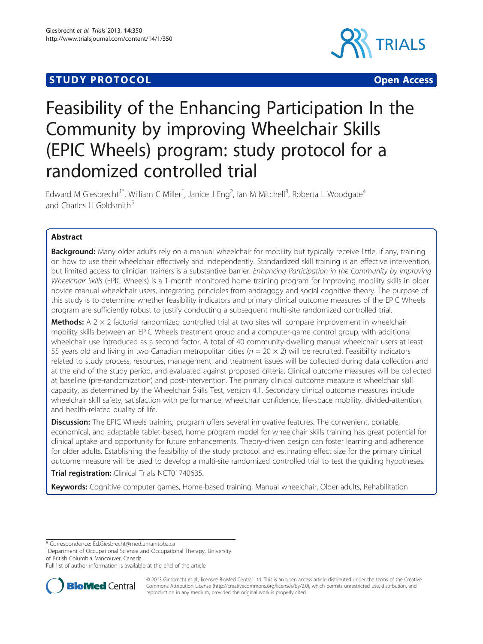# **STUDY PROTOCOL CONSUMING THE CONSUMING OPEN ACCESS**



# Feasibility of the Enhancing Participation In the Community by improving Wheelchair Skills (EPIC Wheels) program: study protocol for a randomized controlled trial

Edward M Giesbrecht<sup>1\*</sup>, William C Miller<sup>1</sup>, Janice J Eng<sup>2</sup>, Ian M Mitchell<sup>3</sup>, Roberta L Woodgate<sup>4</sup> and Charles H Goldsmith<sup>5</sup>

# Abstract

Background: Many older adults rely on a manual wheelchair for mobility but typically receive little, if any, training on how to use their wheelchair effectively and independently. Standardized skill training is an effective intervention, but limited access to clinician trainers is a substantive barrier. Enhancing Participation in the Community by Improving Wheelchair Skills (EPIC Wheels) is a 1-month monitored home training program for improving mobility skills in older novice manual wheelchair users, integrating principles from andragogy and social cognitive theory. The purpose of this study is to determine whether feasibility indicators and primary clinical outcome measures of the EPIC Wheels program are sufficiently robust to justify conducting a subsequent multi-site randomized controlled trial.

**Methods:** A  $2 \times 2$  factorial randomized controlled trial at two sites will compare improvement in wheelchair mobility skills between an EPIC Wheels treatment group and a computer-game control group, with additional wheelchair use introduced as a second factor. A total of 40 community-dwelling manual wheelchair users at least 55 years old and living in two Canadian metropolitan cities ( $n = 20 \times 2$ ) will be recruited. Feasibility indicators related to study process, resources, management, and treatment issues will be collected during data collection and at the end of the study period, and evaluated against proposed criteria. Clinical outcome measures will be collected at baseline (pre-randomization) and post-intervention. The primary clinical outcome measure is wheelchair skill capacity, as determined by the Wheelchair Skills Test, version 4.1. Secondary clinical outcome measures include wheelchair skill safety, satisfaction with performance, wheelchair confidence, life-space mobility, divided-attention, and health-related quality of life.

Discussion: The EPIC Wheels training program offers several innovative features. The convenient, portable, economical, and adaptable tablet-based, home program model for wheelchair skills training has great potential for clinical uptake and opportunity for future enhancements. Theory-driven design can foster learning and adherence for older adults. Establishing the feasibility of the study protocol and estimating effect size for the primary clinical outcome measure will be used to develop a multi-site randomized controlled trial to test the guiding hypotheses.

**Trial registration:** Clinical Trials [NCT01740635](http://clinicaltrials.gov/show/NCT01740635).

Keywords: Cognitive computer games, Home-based training, Manual wheelchair, Older adults, Rehabilitation

\* Correspondence: [Ed.Giesbrecht@med.umanitoba.ca](mailto:Ed.Giesbrecht@med.umanitoba.ca) <sup>1</sup>

<sup>1</sup>Department of Occupational Science and Occupational Therapy, University of British Columbia, Vancouver, Canada

Full list of author information is available at the end of the article



© 2013 Giesbrecht et al.; licensee BioMed Central Ltd. This is an open access article distributed under the terms of the Creative Commons Attribution License [\(http://creativecommons.org/licenses/by/2.0\)](http://creativecommons.org/licenses/by/2.0), which permits unrestricted use, distribution, and reproduction in any medium, provided the original work is properly cited.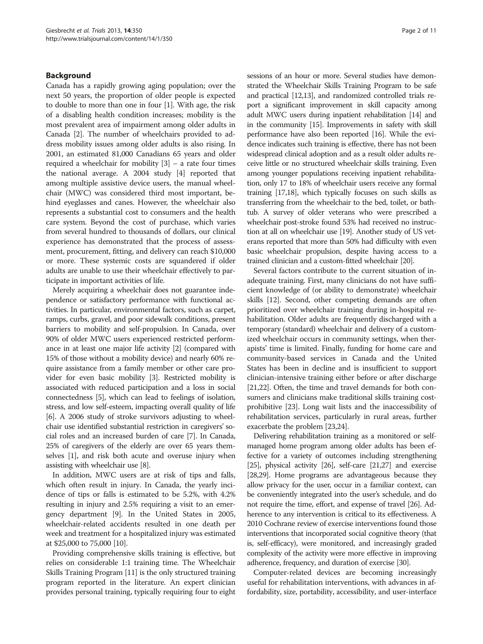#### Background

Canada has a rapidly growing aging population; over the next 50 years, the proportion of older people is expected to double to more than one in four [\[1](#page-9-0)]. With age, the risk of a disabling health condition increases; mobility is the most prevalent area of impairment among older adults in Canada [[2\]](#page-9-0). The number of wheelchairs provided to address mobility issues among older adults is also rising. In 2001, an estimated 81,000 Canadians 65 years and older required a wheelchair for mobility [[3\]](#page-9-0) – a rate four times the national average. A 2004 study [[4](#page-9-0)] reported that among multiple assistive device users, the manual wheelchair (MWC) was considered third most important, behind eyeglasses and canes. However, the wheelchair also represents a substantial cost to consumers and the health care system. Beyond the cost of purchase, which varies from several hundred to thousands of dollars, our clinical experience has demonstrated that the process of assessment, procurement, fitting, and delivery can reach \$10,000 or more. These systemic costs are squandered if older adults are unable to use their wheelchair effectively to participate in important activities of life.

Merely acquiring a wheelchair does not guarantee independence or satisfactory performance with functional activities. In particular, environmental factors, such as carpet, ramps, curbs, gravel, and poor sidewalk conditions, present barriers to mobility and self-propulsion. In Canada, over 90% of older MWC users experienced restricted performance in at least one major life activity [\[2\]](#page-9-0) (compared with 15% of those without a mobility device) and nearly 60% require assistance from a family member or other care provider for even basic mobility [\[3\]](#page-9-0). Restricted mobility is associated with reduced participation and a loss in social connectedness [\[5\]](#page-9-0), which can lead to feelings of isolation, stress, and low self-esteem, impacting overall quality of life [[6](#page-9-0)]. A 2006 study of stroke survivors adjusting to wheelchair use identified substantial restriction in caregivers' social roles and an increased burden of care [\[7](#page-9-0)]. In Canada, 25% of caregivers of the elderly are over 65 years themselves [[1\]](#page-9-0), and risk both acute and overuse injury when assisting with wheelchair use [\[8\]](#page-9-0).

In addition, MWC users are at risk of tips and falls, which often result in injury. In Canada, the yearly incidence of tips or falls is estimated to be 5.2%, with 4.2% resulting in injury and 2.5% requiring a visit to an emergency department [[9](#page-9-0)]. In the United States in 2005, wheelchair-related accidents resulted in one death per week and treatment for a hospitalized injury was estimated at \$25,000 to 75,000 [[10](#page-9-0)].

Providing comprehensive skills training is effective, but relies on considerable 1:1 training time. The Wheelchair Skills Training Program [\[11\]](#page-9-0) is the only structured training program reported in the literature. An expert clinician provides personal training, typically requiring four to eight sessions of an hour or more. Several studies have demonstrated the Wheelchair Skills Training Program to be safe and practical [\[12,13\]](#page-9-0), and randomized controlled trials report a significant improvement in skill capacity among adult MWC users during inpatient rehabilitation [[14](#page-9-0)] and in the community [[15](#page-9-0)]. Improvements in safety with skill performance have also been reported [[16](#page-9-0)]. While the evidence indicates such training is effective, there has not been widespread clinical adoption and as a result older adults receive little or no structured wheelchair skills training. Even among younger populations receiving inpatient rehabilitation, only 17 to 18% of wheelchair users receive any formal training [[17,18](#page-9-0)], which typically focuses on such skills as transferring from the wheelchair to the bed, toilet, or bathtub. A survey of older veterans who were prescribed a wheelchair post-stroke found 53% had received no instruction at all on wheelchair use [\[19](#page-9-0)]. Another study of US veterans reported that more than 50% had difficulty with even basic wheelchair propulsion, despite having access to a trained clinician and a custom-fitted wheelchair [[20](#page-9-0)].

Several factors contribute to the current situation of inadequate training. First, many clinicians do not have sufficient knowledge of (or ability to demonstrate) wheelchair skills [\[12\]](#page-9-0). Second, other competing demands are often prioritized over wheelchair training during in-hospital rehabilitation. Older adults are frequently discharged with a temporary (standard) wheelchair and delivery of a customized wheelchair occurs in community settings, when therapists' time is limited. Finally, funding for home care and community-based services in Canada and the United States has been in decline and is insufficient to support clinician-intensive training either before or after discharge [[21,22](#page-9-0)]. Often, the time and travel demands for both consumers and clinicians make traditional skills training costprohibitive [[23](#page-9-0)]. Long wait lists and the inaccessibility of rehabilitation services, particularly in rural areas, further exacerbate the problem [\[23,24](#page-9-0)].

Delivering rehabilitation training as a monitored or selfmanaged home program among older adults has been effective for a variety of outcomes including strengthening [[25](#page-9-0)], physical activity [\[26\]](#page-9-0), self-care [\[21,27\]](#page-9-0) and exercise [[28,29\]](#page-9-0). Home programs are advantageous because they allow privacy for the user, occur in a familiar context, can be conveniently integrated into the user's schedule, and do not require the time, effort, and expense of travel [[26](#page-9-0)]. Adherence to any intervention is critical to its effectiveness. A 2010 Cochrane review of exercise interventions found those interventions that incorporated social cognitive theory (that is, self-efficacy), were monitored, and increasingly graded complexity of the activity were more effective in improving adherence, frequency, and duration of exercise [\[30\]](#page-9-0).

Computer-related devices are becoming increasingly useful for rehabilitation interventions, with advances in affordability, size, portability, accessibility, and user-interface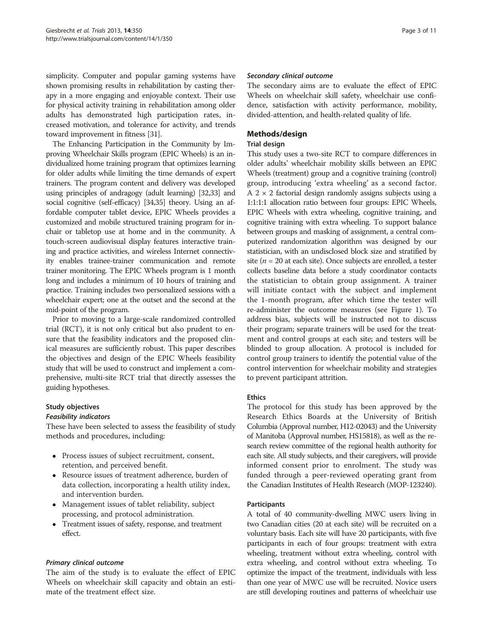simplicity. Computer and popular gaming systems have shown promising results in rehabilitation by casting therapy in a more engaging and enjoyable context. Their use for physical activity training in rehabilitation among older adults has demonstrated high participation rates, increased motivation, and tolerance for activity, and trends toward improvement in fitness [\[31\]](#page-9-0).

The Enhancing Participation in the Community by Improving Wheelchair Skills program (EPIC Wheels) is an individualized home training program that optimizes learning for older adults while limiting the time demands of expert trainers. The program content and delivery was developed using principles of andragogy (adult learning) [\[32,33\]](#page-9-0) and social cognitive (self-efficacy) [\[34,35](#page-9-0)] theory. Using an affordable computer tablet device, EPIC Wheels provides a customized and mobile structured training program for inchair or tabletop use at home and in the community. A touch-screen audiovisual display features interactive training and practice activities, and wireless Internet connectivity enables trainee-trainer communication and remote trainer monitoring. The EPIC Wheels program is 1 month long and includes a minimum of 10 hours of training and practice. Training includes two personalized sessions with a wheelchair expert; one at the outset and the second at the mid-point of the program.

Prior to moving to a large-scale randomized controlled trial (RCT), it is not only critical but also prudent to ensure that the feasibility indicators and the proposed clinical measures are sufficiently robust. This paper describes the objectives and design of the EPIC Wheels feasibility study that will be used to construct and implement a comprehensive, multi-site RCT trial that directly assesses the guiding hypotheses.

# Study objectives

#### Feasibility indicators

These have been selected to assess the feasibility of study methods and procedures, including:

- Process issues of subject recruitment, consent, retention, and perceived benefit.
- Resource issues of treatment adherence, burden of data collection, incorporating a health utility index, and intervention burden.
- Management issues of tablet reliability, subject processing, and protocol administration.
- Treatment issues of safety, response, and treatment effect.

# Primary clinical outcome

The aim of the study is to evaluate the effect of EPIC Wheels on wheelchair skill capacity and obtain an estimate of the treatment effect size.

#### Secondary clinical outcome

The secondary aims are to evaluate the effect of EPIC Wheels on wheelchair skill safety, wheelchair use confidence, satisfaction with activity performance, mobility, divided-attention, and health-related quality of life.

# Methods/design

# Trial design

This study uses a two-site RCT to compare differences in older adults' wheelchair mobility skills between an EPIC Wheels (treatment) group and a cognitive training (control) group, introducing 'extra wheeling' as a second factor.  $A$  2  $\times$  2 factorial design randomly assigns subjects using a 1:1:1:1 allocation ratio between four groups: EPIC Wheels, EPIC Wheels with extra wheeling, cognitive training, and cognitive training with extra wheeling. To support balance between groups and masking of assignment, a central computerized randomization algorithm was designed by our statistician, with an undisclosed block size and stratified by site ( $n = 20$  at each site). Once subjects are enrolled, a tester collects baseline data before a study coordinator contacts the statistician to obtain group assignment. A trainer will initiate contact with the subject and implement the 1-month program, after which time the tester will re-administer the outcome measures (see Figure [1](#page-3-0)). To address bias, subjects will be instructed not to discuss their program; separate trainers will be used for the treatment and control groups at each site; and testers will be blinded to group allocation. A protocol is included for control group trainers to identify the potential value of the control intervention for wheelchair mobility and strategies to prevent participant attrition.

# Ethics

The protocol for this study has been approved by the Research Ethics Boards at the University of British Columbia (Approval number, H12-02043) and the University of Manitoba (Approval number, HS15818), as well as the research review committee of the regional health authority for each site. All study subjects, and their caregivers, will provide informed consent prior to enrolment. The study was funded through a peer-reviewed operating grant from the Canadian Institutes of Health Research (MOP-123240).

# Participants

A total of 40 community-dwelling MWC users living in two Canadian cities (20 at each site) will be recruited on a voluntary basis. Each site will have 20 participants, with five participants in each of four groups: treatment with extra wheeling, treatment without extra wheeling, control with extra wheeling, and control without extra wheeling. To optimize the impact of the treatment, individuals with less than one year of MWC use will be recruited. Novice users are still developing routines and patterns of wheelchair use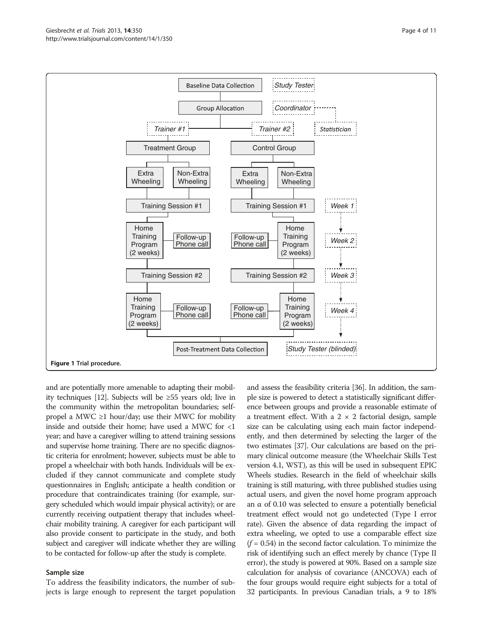and are potentially more amenable to adapting their mobility techniques [\[12\]](#page-9-0). Subjects will be ≥55 years old; live in the community within the metropolitan boundaries; selfpropel a MWC  $\geq$ 1 hour/day; use their MWC for mobility inside and outside their home; have used a MWC for <1 year; and have a caregiver willing to attend training sessions and supervise home training. There are no specific diagnostic criteria for enrolment; however, subjects must be able to propel a wheelchair with both hands. Individuals will be excluded if they cannot communicate and complete study questionnaires in English; anticipate a health condition or procedure that contraindicates training (for example, surgery scheduled which would impair physical activity); or are currently receiving outpatient therapy that includes wheelchair mobility training. A caregiver for each participant will also provide consent to participate in the study, and both subject and caregiver will indicate whether they are willing

#### Sample size

To address the feasibility indicators, the number of subjects is large enough to represent the target population

to be contacted for follow-up after the study is complete.

and assess the feasibility criteria [\[36\]](#page-9-0). In addition, the sample size is powered to detect a statistically significant difference between groups and provide a reasonable estimate of a treatment effect. With a  $2 \times 2$  factorial design, sample size can be calculating using each main factor independently, and then determined by selecting the larger of the two estimates [\[37](#page-9-0)]. Our calculations are based on the primary clinical outcome measure (the Wheelchair Skills Test version 4.1, WST), as this will be used in subsequent EPIC Wheels studies. Research in the field of wheelchair skills training is still maturing, with three published studies using actual users, and given the novel home program approach an  $\alpha$  of 0.10 was selected to ensure a potentially beneficial treatment effect would not go undetected (Type I error rate). Given the absence of data regarding the impact of extra wheeling, we opted to use a comparable effect size  $(f = 0.54)$  in the second factor calculation. To minimize the risk of identifying such an effect merely by chance (Type II error), the study is powered at 90%. Based on a sample size calculation for analysis of covariance (ANCOVA) each of the four groups would require eight subjects for a total of 32 participants. In previous Canadian trials, a 9 to 18%

<span id="page-3-0"></span>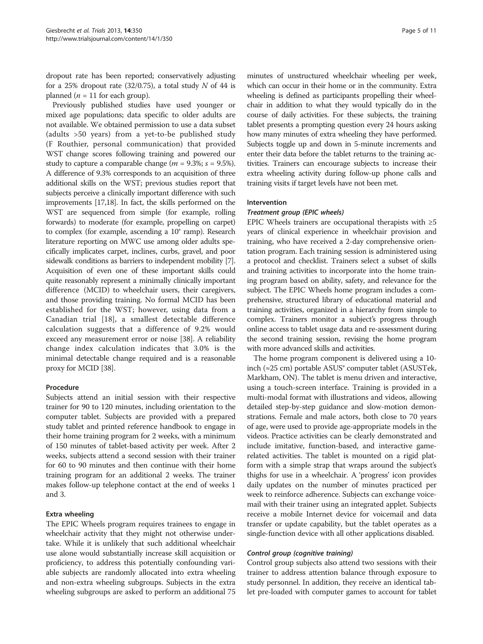dropout rate has been reported; conservatively adjusting for a 25% dropout rate  $(32/0.75)$ , a total study N of 44 is planned ( $n = 11$  for each group).

Previously published studies have used younger or mixed age populations; data specific to older adults are not available. We obtained permission to use a data subset (adults >50 years) from a yet-to-be published study (F Routhier, personal communication) that provided WST change scores following training and powered our study to capture a comparable change ( $m = 9.3\%$ ;  $s = 9.5\%$ ). A difference of 9.3% corresponds to an acquisition of three additional skills on the WST; previous studies report that subjects perceive a clinically important difference with such improvements [[17,18\]](#page-9-0). In fact, the skills performed on the WST are sequenced from simple (for example, rolling forwards) to moderate (for example, propelling on carpet) to complex (for example, ascending a 10° ramp). Research literature reporting on MWC use among older adults specifically implicates carpet, inclines, curbs, gravel, and poor sidewalk conditions as barriers to independent mobility [[7](#page-9-0)]. Acquisition of even one of these important skills could quite reasonably represent a minimally clinically important difference (MCID) to wheelchair users, their caregivers, and those providing training. No formal MCID has been established for the WST; however, using data from a Canadian trial [[18\]](#page-9-0), a smallest detectable difference calculation suggests that a difference of 9.2% would exceed any measurement error or noise [\[38\]](#page-9-0). A reliability change index calculation indicates that 3.0% is the minimal detectable change required and is a reasonable proxy for MCID [[38](#page-9-0)].

# Procedure

Subjects attend an initial session with their respective trainer for 90 to 120 minutes, including orientation to the computer tablet. Subjects are provided with a prepared study tablet and printed reference handbook to engage in their home training program for 2 weeks, with a minimum of 150 minutes of tablet-based activity per week. After 2 weeks, subjects attend a second session with their trainer for 60 to 90 minutes and then continue with their home training program for an additional 2 weeks. The trainer makes follow-up telephone contact at the end of weeks 1 and 3.

# Extra wheeling

The EPIC Wheels program requires trainees to engage in wheelchair activity that they might not otherwise undertake. While it is unlikely that such additional wheelchair use alone would substantially increase skill acquisition or proficiency, to address this potentially confounding variable subjects are randomly allocated into extra wheeling and non-extra wheeling subgroups. Subjects in the extra wheeling subgroups are asked to perform an additional 75

minutes of unstructured wheelchair wheeling per week, which can occur in their home or in the community. Extra wheeling is defined as participants propelling their wheelchair in addition to what they would typically do in the course of daily activities. For these subjects, the training tablet presents a prompting question every 24 hours asking how many minutes of extra wheeling they have performed. Subjects toggle up and down in 5-minute increments and enter their data before the tablet returns to the training activities. Trainers can encourage subjects to increase their extra wheeling activity during follow-up phone calls and training visits if target levels have not been met.

#### Intervention

#### Treatment group (EPIC wheels)

EPIC Wheels trainers are occupational therapists with  $\geq 5$ years of clinical experience in wheelchair provision and training, who have received a 2-day comprehensive orientation program. Each training session is administered using a protocol and checklist. Trainers select a subset of skills and training activities to incorporate into the home training program based on ability, safety, and relevance for the subject. The EPIC Wheels home program includes a comprehensive, structured library of educational material and training activities, organized in a hierarchy from simple to complex. Trainers monitor a subject's progress through online access to tablet usage data and re-assessment during the second training session, revising the home program with more advanced skills and activities.

The home program component is delivered using a 10 inch (≈25 cm) portable  $ASUS<sup>®</sup>$  computer tablet (ASUSTek, Markham, ON). The tablet is menu driven and interactive, using a touch-screen interface. Training is provided in a multi-modal format with illustrations and videos, allowing detailed step-by-step guidance and slow-motion demonstrations. Female and male actors, both close to 70 years of age, were used to provide age-appropriate models in the videos. Practice activities can be clearly demonstrated and include imitative, function-based, and interactive gamerelated activities. The tablet is mounted on a rigid platform with a simple strap that wraps around the subject's thighs for use in a wheelchair. A 'progress' icon provides daily updates on the number of minutes practiced per week to reinforce adherence. Subjects can exchange voicemail with their trainer using an integrated applet. Subjects receive a mobile Internet device for voicemail and data transfer or update capability, but the tablet operates as a single-function device with all other applications disabled.

#### Control group (cognitive training)

Control group subjects also attend two sessions with their trainer to address attention balance through exposure to study personnel. In addition, they receive an identical tablet pre-loaded with computer games to account for tablet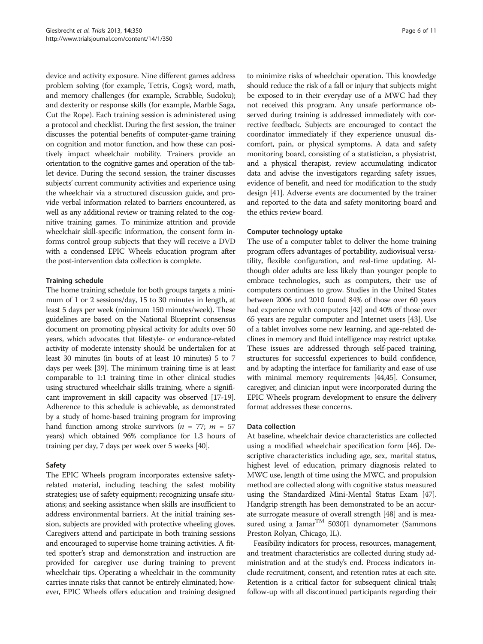device and activity exposure. Nine different games address problem solving (for example, Tetris, Cogs); word, math, and memory challenges (for example, Scrabble, Sudoku); and dexterity or response skills (for example, Marble Saga, Cut the Rope). Each training session is administered using a protocol and checklist. During the first session, the trainer discusses the potential benefits of computer-game training on cognition and motor function, and how these can positively impact wheelchair mobility. Trainers provide an orientation to the cognitive games and operation of the tablet device. During the second session, the trainer discusses subjects' current community activities and experience using the wheelchair via a structured discussion guide, and provide verbal information related to barriers encountered, as well as any additional review or training related to the cognitive training games. To minimize attrition and provide wheelchair skill-specific information, the consent form informs control group subjects that they will receive a DVD with a condensed EPIC Wheels education program after the post-intervention data collection is complete.

#### Training schedule

The home training schedule for both groups targets a minimum of 1 or 2 sessions/day, 15 to 30 minutes in length, at least 5 days per week (minimum 150 minutes/week). These guidelines are based on the National Blueprint consensus document on promoting physical activity for adults over 50 years, which advocates that lifestyle- or endurance-related activity of moderate intensity should be undertaken for at least 30 minutes (in bouts of at least 10 minutes) 5 to 7 days per week [\[39\]](#page-9-0). The minimum training time is at least comparable to 1:1 training time in other clinical studies using structured wheelchair skills training, where a significant improvement in skill capacity was observed [\[17-19](#page-9-0)]. Adherence to this schedule is achievable, as demonstrated by a study of home-based training program for improving hand function among stroke survivors ( $n = 77$ ;  $m = 57$ years) which obtained 96% compliance for 1.3 hours of training per day, 7 days per week over 5 weeks [\[40](#page-9-0)].

#### Safety

The EPIC Wheels program incorporates extensive safetyrelated material, including teaching the safest mobility strategies; use of safety equipment; recognizing unsafe situations; and seeking assistance when skills are insufficient to address environmental barriers. At the initial training session, subjects are provided with protective wheeling gloves. Caregivers attend and participate in both training sessions and encouraged to supervise home training activities. A fitted spotter's strap and demonstration and instruction are provided for caregiver use during training to prevent wheelchair tips. Operating a wheelchair in the community carries innate risks that cannot be entirely eliminated; however, EPIC Wheels offers education and training designed

to minimize risks of wheelchair operation. This knowledge should reduce the risk of a fall or injury that subjects might be exposed to in their everyday use of a MWC had they not received this program. Any unsafe performance observed during training is addressed immediately with corrective feedback. Subjects are encouraged to contact the coordinator immediately if they experience unusual discomfort, pain, or physical symptoms. A data and safety monitoring board, consisting of a statistician, a physiatrist, and a physical therapist, review accumulating indicator data and advise the investigators regarding safety issues, evidence of benefit, and need for modification to the study design [\[41\]](#page-9-0). Adverse events are documented by the trainer and reported to the data and safety monitoring board and the ethics review board.

#### Computer technology uptake

The use of a computer tablet to deliver the home training program offers advantages of portability, audiovisual versatility, flexible configuration, and real-time updating. Although older adults are less likely than younger people to embrace technologies, such as computers, their use of computers continues to grow. Studies in the United States between 2006 and 2010 found 84% of those over 60 years had experience with computers [\[42\]](#page-10-0) and 40% of those over 65 years are regular computer and Internet users [\[43\]](#page-10-0). Use of a tablet involves some new learning, and age-related declines in memory and fluid intelligence may restrict uptake. These issues are addressed through self-paced training, structures for successful experiences to build confidence, and by adapting the interface for familiarity and ease of use with minimal memory requirements [\[44,45\]](#page-10-0). Consumer, caregiver, and clinician input were incorporated during the EPIC Wheels program development to ensure the delivery format addresses these concerns.

#### Data collection

At baseline, wheelchair device characteristics are collected using a modified wheelchair specification form [[46](#page-10-0)]. Descriptive characteristics including age, sex, marital status, highest level of education, primary diagnosis related to MWC use, length of time using the MWC, and propulsion method are collected along with cognitive status measured using the Standardized Mini-Mental Status Exam [[47](#page-10-0)]. Handgrip strength has been demonstrated to be an accurate surrogate measure of overall strength [[48](#page-10-0)] and is measured using a Jamar<sup>TM</sup> 5030J1 dynamometer (Sammons Preston Rolyan, Chicago, IL).

Feasibility indicators for process, resources, management, and treatment characteristics are collected during study administration and at the study's end. Process indicators include recruitment, consent, and retention rates at each site. Retention is a critical factor for subsequent clinical trials; follow-up with all discontinued participants regarding their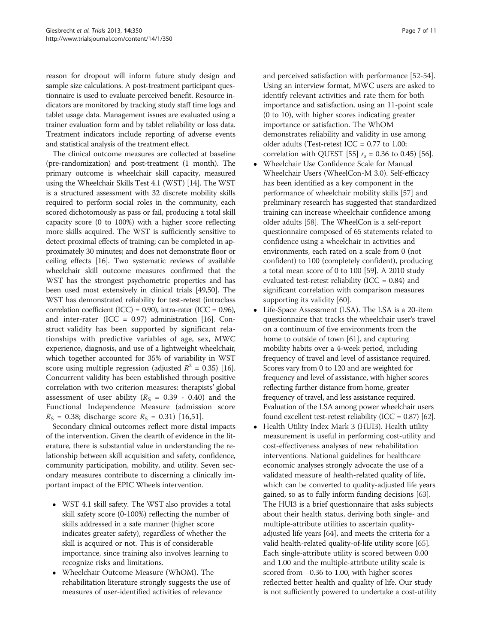reason for dropout will inform future study design and sample size calculations. A post-treatment participant questionnaire is used to evaluate perceived benefit. Resource indicators are monitored by tracking study staff time logs and tablet usage data. Management issues are evaluated using a trainer evaluation form and by tablet reliability or loss data. Treatment indicators include reporting of adverse events and statistical analysis of the treatment effect.

The clinical outcome measures are collected at baseline (pre-randomization) and post-treatment (1 month). The primary outcome is wheelchair skill capacity, measured using the Wheelchair Skills Test 4.1 (WST) [[14](#page-9-0)]. The WST is a structured assessment with 32 discrete mobility skills required to perform social roles in the community, each scored dichotomously as pass or fail, producing a total skill capacity score (0 to 100%) with a higher score reflecting more skills acquired. The WST is sufficiently sensitive to detect proximal effects of training; can be completed in approximately 30 minutes; and does not demonstrate floor or ceiling effects [[16](#page-9-0)]. Two systematic reviews of available wheelchair skill outcome measures confirmed that the WST has the strongest psychometric properties and has been used most extensively in clinical trials [\[49,50](#page-10-0)]. The WST has demonstrated reliability for test-retest (intraclass correlation coefficient (ICC) =  $0.90$ ), intra-rater (ICC =  $0.96$ ), and inter-rater (ICC =  $0.97$ ) administration [\[16](#page-9-0)]. Construct validity has been supported by significant relationships with predictive variables of age, sex, MWC experience, diagnosis, and use of a lightweight wheelchair, which together accounted for 35% of variability in WST score using multiple regression (adjusted  $R^2 = 0.35$ ) [[16](#page-9-0)]. Concurrent validity has been established through positive correlation with two criterion measures: therapists' global assessment of user ability ( $R<sub>S</sub> = 0.39 - 0.40$ ) and the Functional Independence Measure (admission score  $R_S = 0.38$ ; discharge score  $R_S = 0.31$ ) [[16,](#page-9-0)[51\]](#page-10-0).

Secondary clinical outcomes reflect more distal impacts of the intervention. Given the dearth of evidence in the literature, there is substantial value in understanding the relationship between skill acquisition and safety, confidence, community participation, mobility, and utility. Seven secondary measures contribute to discerning a clinically important impact of the EPIC Wheels intervention.

- WST 4.1 skill safety. The WST also provides a total skill safety score (0-100%) reflecting the number of skills addressed in a safe manner (higher score indicates greater safety), regardless of whether the skill is acquired or not. This is of considerable importance, since training also involves learning to recognize risks and limitations.
- Wheelchair Outcome Measure (WhOM). The rehabilitation literature strongly suggests the use of measures of user-identified activities of relevance

and perceived satisfaction with performance [[52-54\]](#page-10-0). Using an interview format, MWC users are asked to identify relevant activities and rate them for both importance and satisfaction, using an 11-point scale (0 to 10), with higher scores indicating greater importance or satisfaction. The WhOM demonstrates reliability and validity in use among older adults (Test-retest ICC =  $0.77$  to 1.00; correlation with QUEST [[55](#page-10-0)]  $r_s = 0.36$  to 0.45) [[56](#page-10-0)].

- Wheelchair Use Confidence Scale for Manual Wheelchair Users (WheelCon-M 3.0). Self-efficacy has been identified as a key component in the performance of wheelchair mobility skills [\[57\]](#page-10-0) and preliminary research has suggested that standardized training can increase wheelchair confidence among older adults [\[58\]](#page-10-0). The WheelCon is a self-report questionnaire composed of 65 statements related to confidence using a wheelchair in activities and environments, each rated on a scale from 0 (not confident) to 100 (completely confident), producing a total mean score of 0 to 100 [[59\]](#page-10-0). A 2010 study evaluated test-retest reliability (ICC =  $0.84$ ) and significant correlation with comparison measures supporting its validity [\[60](#page-10-0)].
- Life-Space Assessment (LSA). The LSA is a 20-item questionnaire that tracks the wheelchair user's travel on a continuum of five environments from the home to outside of town [[61](#page-10-0)], and capturing mobility habits over a 4-week period, including frequency of travel and level of assistance required. Scores vary from 0 to 120 and are weighted for frequency and level of assistance, with higher scores reflecting further distance from home, greater frequency of travel, and less assistance required. Evaluation of the LSA among power wheelchair users found excellent test-retest reliability (ICC =  $0.87$ ) [[62](#page-10-0)].
- Health Utility Index Mark 3 (HUI3). Health utility measurement is useful in performing cost-utility and cost-effectiveness analyses of new rehabilitation interventions. National guidelines for healthcare economic analyses strongly advocate the use of a validated measure of health-related quality of life, which can be converted to quality-adjusted life years gained, so as to fully inform funding decisions [\[63](#page-10-0)]. The HUI3 is a brief questionnaire that asks subjects about their health status, deriving both single- and multiple-attribute utilities to ascertain qualityadjusted life years [\[64\]](#page-10-0), and meets the criteria for a valid health-related quality-of-life utility score [[65](#page-10-0)]. Each single-attribute utility is scored between 0.00 and 1.00 and the multiple-attribute utility scale is scored from −0.36 to 1.00, with higher scores reflected better health and quality of life. Our study is not sufficiently powered to undertake a cost-utility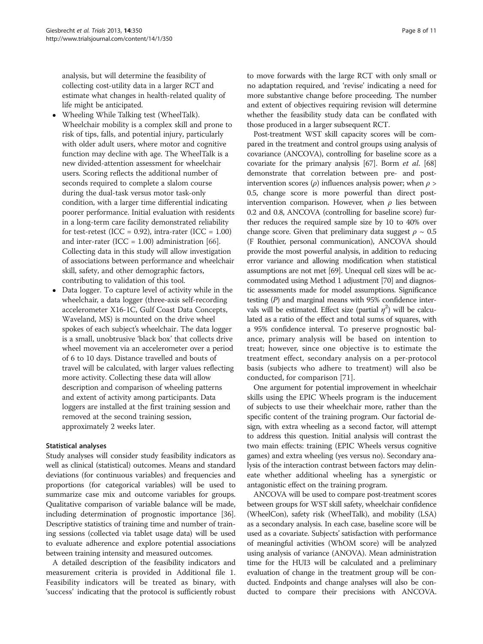analysis, but will determine the feasibility of collecting cost-utility data in a larger RCT and estimate what changes in health-related quality of life might be anticipated.

- Wheeling While Talking test (WheelTalk). Wheelchair mobility is a complex skill and prone to risk of tips, falls, and potential injury, particularly with older adult users, where motor and cognitive function may decline with age. The WheelTalk is a new divided-attention assessment for wheelchair users. Scoring reflects the additional number of seconds required to complete a slalom course during the dual-task versus motor task-only condition, with a larger time differential indicating poorer performance. Initial evaluation with residents in a long-term care facility demonstrated reliability for test-retest (ICC =  $0.92$ ), intra-rater (ICC =  $1.00$ ) and inter-rater (ICC =  $1.00$ ) administration [\[66\]](#page-10-0). Collecting data in this study will allow investigation of associations between performance and wheelchair skill, safety, and other demographic factors, contributing to validation of this tool.
- Data logger. To capture level of activity while in the wheelchair, a data logger (three-axis self-recording accelerometer X16-1C, Gulf Coast Data Concepts, Waveland, MS) is mounted on the drive wheel spokes of each subject's wheelchair. The data logger is a small, unobtrusive 'black box' that collects drive wheel movement via an accelerometer over a period of 6 to 10 days. Distance travelled and bouts of travel will be calculated, with larger values reflecting more activity. Collecting these data will allow description and comparison of wheeling patterns and extent of activity among participants. Data loggers are installed at the first training session and removed at the second training session, approximately 2 weeks later.

#### Statistical analyses

Study analyses will consider study feasibility indicators as well as clinical (statistical) outcomes. Means and standard deviations (for continuous variables) and frequencies and proportions (for categorical variables) will be used to summarize case mix and outcome variables for groups. Qualitative comparison of variable balance will be made, including determination of prognostic importance [[36](#page-9-0)]. Descriptive statistics of training time and number of training sessions (collected via tablet usage data) will be used to evaluate adherence and explore potential associations between training intensity and measured outcomes.

A detailed description of the feasibility indicators and measurement criteria is provided in Additional file [1](#page-8-0). Feasibility indicators will be treated as binary, with 'success' indicating that the protocol is sufficiently robust to move forwards with the large RCT with only small or no adaptation required, and 'revise' indicating a need for more substantive change before proceeding. The number and extent of objectives requiring revision will determine whether the feasibility study data can be conflated with those produced in a larger subsequent RCT.

Post-treatment WST skill capacity scores will be compared in the treatment and control groups using analysis of covariance (ANCOVA), controlling for baseline score as a covariate for the primary analysis [\[67](#page-10-0)]. Borm et al. [\[68](#page-10-0)] demonstrate that correlation between pre- and postintervention scores ( $\rho$ ) influences analysis power; when  $\rho$  > 0.5, change score is more powerful than direct postintervention comparison. However, when  $\rho$  lies between 0.2 and 0.8, ANCOVA (controlling for baseline score) further reduces the required sample size by 10 to 40% over change score. Given that preliminary data suggest  $\rho \sim 0.5$ (F Routhier, personal communication), ANCOVA should provide the most powerful analysis, in addition to reducing error variance and allowing modification when statistical assumptions are not met [\[69\]](#page-10-0). Unequal cell sizes will be accommodated using Method 1 adjustment [\[70](#page-10-0)] and diagnostic assessments made for model assumptions. Significance testing (P) and marginal means with 95% confidence intervals will be estimated. Effect size (partial  $\eta^2$ ) will be calculated as a ratio of the effect and total sums of squares, with a 95% confidence interval. To preserve prognostic balance, primary analysis will be based on intention to treat; however, since one objective is to estimate the treatment effect, secondary analysis on a per-protocol basis (subjects who adhere to treatment) will also be conducted, for comparison [[71\]](#page-10-0).

One argument for potential improvement in wheelchair skills using the EPIC Wheels program is the inducement of subjects to use their wheelchair more, rather than the specific content of the training program. Our factorial design, with extra wheeling as a second factor, will attempt to address this question. Initial analysis will contrast the two main effects: training (EPIC Wheels versus cognitive games) and extra wheeling (yes versus no). Secondary analysis of the interaction contrast between factors may delineate whether additional wheeling has a synergistic or antagonistic effect on the training program.

ANCOVA will be used to compare post-treatment scores between groups for WST skill safety, wheelchair confidence (WheelCon), safety risk (WheelTalk), and mobility (LSA) as a secondary analysis. In each case, baseline score will be used as a covariate. Subjects' satisfaction with performance of meaningful activities (WhOM score) will be analyzed using analysis of variance (ANOVA). Mean administration time for the HUI3 will be calculated and a preliminary evaluation of change in the treatment group will be conducted. Endpoints and change analyses will also be conducted to compare their precisions with ANCOVA.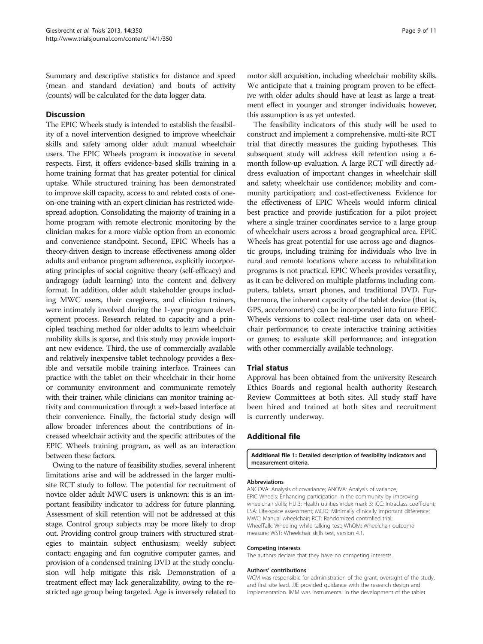<span id="page-8-0"></span>Summary and descriptive statistics for distance and speed (mean and standard deviation) and bouts of activity (counts) will be calculated for the data logger data.

#### **Discussion**

The EPIC Wheels study is intended to establish the feasibility of a novel intervention designed to improve wheelchair skills and safety among older adult manual wheelchair users. The EPIC Wheels program is innovative in several respects. First, it offers evidence-based skills training in a home training format that has greater potential for clinical uptake. While structured training has been demonstrated to improve skill capacity, access to and related costs of oneon-one training with an expert clinician has restricted widespread adoption. Consolidating the majority of training in a home program with remote electronic monitoring by the clinician makes for a more viable option from an economic and convenience standpoint. Second, EPIC Wheels has a theory-driven design to increase effectiveness among older adults and enhance program adherence, explicitly incorporating principles of social cognitive theory (self-efficacy) and andragogy (adult learning) into the content and delivery format. In addition, older adult stakeholder groups including MWC users, their caregivers, and clinician trainers, were intimately involved during the 1-year program development process. Research related to capacity and a principled teaching method for older adults to learn wheelchair mobility skills is sparse, and this study may provide important new evidence. Third, the use of commercially available and relatively inexpensive tablet technology provides a flexible and versatile mobile training interface. Trainees can practice with the tablet on their wheelchair in their home or community environment and communicate remotely with their trainer, while clinicians can monitor training activity and communication through a web-based interface at their convenience. Finally, the factorial study design will allow broader inferences about the contributions of increased wheelchair activity and the specific attributes of the EPIC Wheels training program, as well as an interaction between these factors.

Owing to the nature of feasibility studies, several inherent limitations arise and will be addressed in the larger multisite RCT study to follow. The potential for recruitment of novice older adult MWC users is unknown: this is an important feasibility indicator to address for future planning. Assessment of skill retention will not be addressed at this stage. Control group subjects may be more likely to drop out. Providing control group trainers with structured strategies to maintain subject enthusiasm; weekly subject contact; engaging and fun cognitive computer games, and provision of a condensed training DVD at the study conclusion will help mitigate this risk. Demonstration of a treatment effect may lack generalizability, owing to the restricted age group being targeted. Age is inversely related to

motor skill acquisition, including wheelchair mobility skills. We anticipate that a training program proven to be effective with older adults should have at least as large a treatment effect in younger and stronger individuals; however, this assumption is as yet untested.

The feasibility indicators of this study will be used to construct and implement a comprehensive, multi-site RCT trial that directly measures the guiding hypotheses. This subsequent study will address skill retention using a 6 month follow-up evaluation. A large RCT will directly address evaluation of important changes in wheelchair skill and safety; wheelchair use confidence; mobility and community participation; and cost-effectiveness. Evidence for the effectiveness of EPIC Wheels would inform clinical best practice and provide justification for a pilot project where a single trainer coordinates service to a large group of wheelchair users across a broad geographical area. EPIC Wheels has great potential for use across age and diagnostic groups, including training for individuals who live in rural and remote locations where access to rehabilitation programs is not practical. EPIC Wheels provides versatility, as it can be delivered on multiple platforms including computers, tablets, smart phones, and traditional DVD. Furthermore, the inherent capacity of the tablet device (that is, GPS, accelerometers) can be incorporated into future EPIC Wheels versions to collect real-time user data on wheelchair performance; to create interactive training activities or games; to evaluate skill performance; and integration with other commercially available technology.

#### Trial status

Approval has been obtained from the university Research Ethics Boards and regional health authority Research Review Committees at both sites. All study staff have been hired and trained at both sites and recruitment is currently underway.

#### Additional file

[Additional file 1:](http://www.biomedcentral.com/content/supplementary/1745-6215-14-350-S1.docx) Detailed description of feasibility indicators and measurement criteria.

#### Abbreviations

ANCOVA: Analysis of covariance; ANOVA: Analysis of variance; EPIC Wheels: Enhancing participation in the community by improving wheelchair skills; HUI3: Health utilities index mark 3; ICC: Intraclass coefficient; LSA: Life-space assessment; MCID: Minimally clinically important difference; MWC: Manual wheelchair; RCT: Randomized controlled trial; WheelTalk: Wheeling while talking test; WhOM: Wheelchair outcome measure; WST: Wheelchair skills test, version 4.1.

#### Competing interests

The authors declare that they have no competing interests.

#### Authors' contributions

WCM was responsible for administration of the grant, oversight of the study, and first site lead. JJE provided guidance with the research design and implementation. IMM was instrumental in the development of the tablet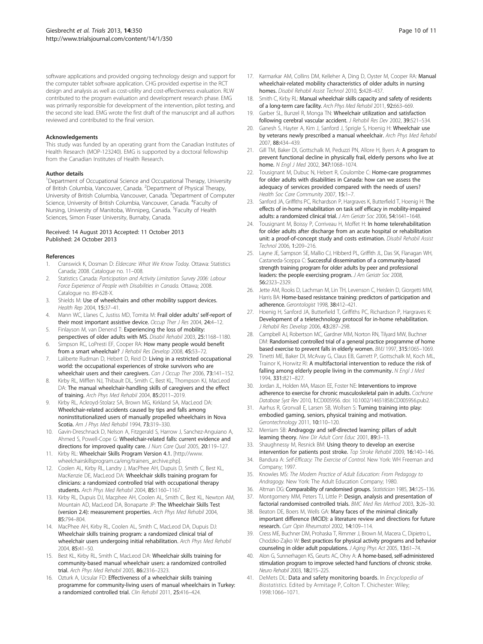<span id="page-9-0"></span>software applications and provided ongoing technology design and support for the computer tablet software application. CHG provided expertise in the RCT design and analysis as well as cost-utility and cost-effectiveness evaluation. RLW contributed to the program evaluation and development research phase. EMG was primarily responsible for development of the intervention, pilot testing, and the second site lead. EMG wrote the first draft of the manuscript and all authors reviewed and contributed to the final version.

#### Acknowledgements

This study was funded by an operating grant from the Canadian Institutes of Health Research (MOP-123240). EMG is supported by a doctoral fellowship from the Canadian Institutes of Health Research.

#### Author details

<sup>1</sup>Department of Occupational Science and Occupational Therapy, University of British Columbia, Vancouver, Canada. <sup>2</sup>Department of Physical Therapy, University of British Columbia, Vancouver, Canada. <sup>3</sup>Department of Computer Science, University of British Columbia, Vancouver, Canada. <sup>4</sup>Faculty of Nursing, University of Manitoba, Winnipeg, Canada. <sup>5</sup>Faculty of Health Sciences, Simon Fraser University, Burnaby, Canada.

#### Received: 14 August 2013 Accepted: 11 October 2013 Published: 24 October 2013

#### References

- Cranswick K, Dosman D: Eldercare: What We Know Today. Ottawa: Statistics Canada; 2008. Catalogue no. 11–008.
- Statistics Canada: Participation and Activity Limitation Survey 2006: Labour Force Experience of People with Disabilities in Canada. Ottawa; 2008. Catalogue no. 89-628-X.
- 3. Shields M: Use of wheelchairs and other mobility support devices. Health Rep 2004, 15:37–41.
- 4. Mann WC, Llanes C, Justiss MD, Tomita M: Frail older adults' self-report of their most important assistive device. Occup Ther J Res 2004, 24:4-12.
- 5. Finlayson M, van Denend T: Experiencing the loss of mobility: perspectives of older adults with MS. Disabil Rehabil 2003, 25:1168–1180.
- 6. Simpson RC, LoPresti EF, Cooper RA: How many people would benefit from a smart wheelchair? J Rehabil Res Develop 2008, 45:53–72.
- 7. Laliberte Rudman D, Hebert D, Reid D: Living in a restricted occupational world: the occupational experiences of stroke survivors who are wheelchair users and their caregivers. Can J Occup Ther 2006, 73:141-152.
- 8. Kirby RL, Mifflen NJ, Thibault DL, Smith C, Best KL, Thompson KJ, MacLeod DA: The manual wheelchair-handling skills of caregivers and the effect of training. Arch Phys Med Rehabil 2004, 85:2011–2019.
- Kirby RL, Ackroyd-Stolarz SA, Brown MG, Kirkland SA, MacLeod DA: Wheelchair-related accidents caused by tips and falls among noninstitutionalized users of manually propelled wheelchairs in Nova Scotia. Am J Phys Med Rehabil 1994, 73:319-330.
- 10. Gavin-Dreschnack D, Nelson A, Fitzgerald S, Harrow J, Sanchez-Anguiano A, Ahmed S, Powell-Cope G: Wheelchair-related falls: current evidence and directions for improved quality care. J Nurs Care Qual 2005, 20:119-127.
- 11. Kirby RL: Wheelchair Skills Program Version 4.1. [[http://www.](http://www.wheelchairskillsprogram.ca/eng/trainers_archive.php) [wheelchairskillsprogram.ca/eng/trainers\\_archive.php\]](http://www.wheelchairskillsprogram.ca/eng/trainers_archive.php).
- 12. Coolen AL, Kirby RL, Landry J, MacPhee AH, Dupuis D, Smith C, Best KL, MacKenzie DE, MacLeod DA: Wheelchair skills training program for clinicians: a randomized controlled trial with occupational therapy students. Arch Phys Med Rehabil 2004, 85:1160–1167.
- 13. Kirby RL, Dupuis DJ, Macphee AH, Coolen AL, Smith C, Best KL, Newton AM, Mountain AD, MacLeod DA, Bonaparte JP: The Wheelchair Skills Test (version 2.4): measurement properties. Arch Phys Med Rehabil 2004, 85:794–804.
- 14. MacPhee AH, Kirby RL, Coolen AL, Smith C, MacLeod DA, Dupuis DJ: Wheelchair skills training program: a randomized clinical trial of wheelchair users undergoing initial rehabilitation. Arch Phys Med Rehabil 2004, 85:41–50.
- 15. Best KL, Kirby RL, Smith C, MacLeod DA: Wheelchair skills training for community-based manual wheelchair users: a randomized controlled trial. Arch Phys Med Rehabil 2005, 86:2316–2323.
- 16. Ozturk A, Ucsular FD: Effectiveness of a wheelchair skills training programme for community-living users of manual wheelchairs in Turkey: a randomized controlled trial. Clin Rehabil 2011, 25:416–424.
- 
- 17. Karmarkar AM, Collins DM, Kelleher A, Ding D, Oyster M, Cooper RA: Manual wheelchair-related mobility characteristics of older adults in nursing homes. Disabil Rehabil Assist Technol 2010, 5:428–437.
- 18. Smith C, Kirby RL: Manual wheelchair skills capacity and safety of residents of a long-term care facility. Arch Phys Med Rehabil 2011, 92:663–669.
- 19. Garber SL, Bunzel R, Monga TN: Wheelchair utilization and satisfaction following cerebral vascular accident. J Rehabil Res Dev 2002, 39:521–534.
- 20. Ganesh S, Hayter A, Kim J, Sanford J, Sprigle S, Hoenig H: Wheelchair use by veterans newly prescribed a manual wheelchair. Arch Phys Med Rehabil 2007, 88:434–439.
- 21. Gill TM, Baker DI, Gottschalk M, Peduzzi PN, Allore H, Byers A: A program to prevent functional decline in physically frail, elderly persons who live at home. N Engl J Med 2002, 347:1068-1074.
- 22. Tousignant M, Dubuc N, Hebert R, Coulombe C: Home-care programmes for older adults with disabilities in Canada: how can we assess the adequacy of services provided compared with the needs of users? Health Soc Care Community 2007, 15:1–7.
- 23. Sanford JA, Griffiths PC, Richardson P, Hargraves K, Butterfield T, Hoenig H: The effects of in-home rehabilitation on task self efficacy in mobility-impaired adults: a randomized clinical trial. J Am Geriatr Soc 2006, 54:1641-1648.
- 24. Tousignant M, Boissy P, Corriveau H, Moffet H: In home telerehabilitation for older adults after discharge from an acute hospital or rehabilitation unit: a proof-of-concept study and costs estimation. Disabil Rehabil Assist Technol 2006, 1:209–216.
- 25. Layne JE, Sampson SE, Mallio CJ, Hibberd PL, Griffith JL, Das SK, Flanagan WH, Castaneda-Sceppa C: Successful dissemination of a community-based strength training program for older adults by peer and professional leaders: the people exercising program. J Am Geriatr Soc 2008, 56:2323–2329.
- 26. Jette AM, Rooks D, Lachman M, Lin TH, Levenson C, Heislein D, Giorgetti MM, Harris BA: Home-based resistance training: predictors of participation and adherence. Gerontologist 1998, 38:412–421.
- 27. Hoenig H, Sanford JA, Butterfield T, Griffiths PC, Richardson P, Hargraves K: Development of a teletechnology protocol for in-home rehabilitation. J Rehabil Res Develop 2006, 43:287-298.
- 28. Campbell AJ, Robertson MC, Gardner MM, Norton RN, Tilyard MW, Buchner DM: Randomised controlled trial of a general practice programme of home based exercise to prevent falls in elderly women. BMJ 1997, 315:1065–1069.
- 29. Tinetti ME, Baker DI, McAvay G, Claus EB, Garrett P, Gottschalk M, Koch ML, Trainor K, Horwitz RI: A multifactorial intervention to reduce the risk of falling among elderly people living in the community. N Engl J Med 1994, 331:821–827.
- 30. Jordan JL, Holden MA, Mason EE, Foster NE: Interventions to improve adherence to exercise for chronic musculoskeletal pain in adults. Cochrane Database Syst Rev 2010, 1:CD005956. doi: 10.1002/14651858.CD005956.pub2.
- 31. Aarhus R, Gronvall E, Larsen SB, Wollsen S: Turning training into play: embodied gaming, seniors, physical training and motivation. Gerontechnology 2011, 10:110–120.
- 32. Merriam SB: Andragogy and self-directed learning: pillars of adult learning theory. New Dir Adult Cont Educ 2001, 89:3-13.
- 33. Shaughnessy M, Resnick BM: Using theory to develop an exercise intervention for patients post stroke. Top Stroke Rehabil 2009, 16:140–146.
- Bandura A: Self-Efficacy: The Exercise of Control. New York: WH Freeman and Company; 1997.
- 35. Knowles MS: The Modern Practice of Adult Education: From Pedagogy to Andragogy. New York: The Adult Education Company; 1980.
- Altman DG: Comparability of randomised groups. Statistician 1985, 34:125-136. 37. Montgomery MM, Peters TJ, Little P: Design, analysis and presentation of
- factorial randomised controlled trials. BMC Med Res Method 2003, 3:26–30.
- 38. Beaton DE, Boers M, Wells GA: Many faces of the minimal clinically important difference (MCID): a literature review and directions for future research. Curr Opin Rheumatol 2002, 14:109–114.
- 39. Cress ME, Buchner DM, Prohaska T, Rimmer J, Brown M, Macera C, Dipietro L, Chodzko-Zajko W: Best practices for physical activity programs and behavior counseling in older adult populations. J Aging Phys Act 2005, 13:61–74.
- 40. Alon G, Sunnerhagen KS, Geurts AC, Ohry A: A home-based, self-administered stimulation program to improve selected hand functions of chronic stroke. Neuro Rehabil 2003, 18:215–225.
- 41. DeMets DL: Data and safety monitoring boards. In Encyclopedia of Biostatistics. Edited by Armitage P, Colton T. Chichester: Wiley; 1998:1066–1071.